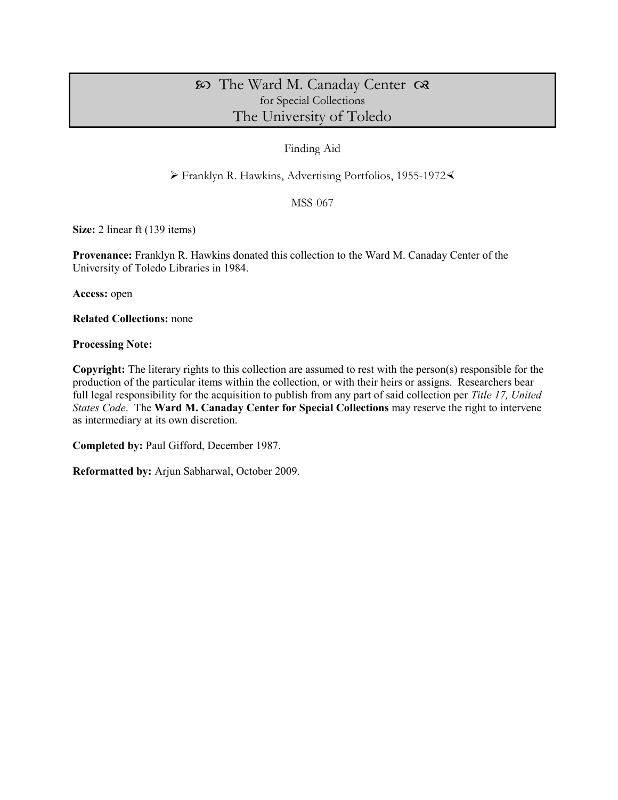# The Ward M. Canaday Center for Special Collections The University of Toledo

## Finding Aid

Franklyn R. Hawkins, Advertising Portfolios, 1955-1972

MSS-067

**Size:** 2 linear ft (139 items)

**Provenance:** Franklyn R. Hawkins donated this collection to the Ward M. Canaday Center of the University of Toledo Libraries in 1984.

**Access:** open

**Related Collections:** none

**Processing Note:** 

**Copyright:** The literary rights to this collection are assumed to rest with the person(s) responsible for the production of the particular items within the collection, or with their heirs or assigns. Researchers bear full legal responsibility for the acquisition to publish from any part of said collection per *Title 17, United States Code*. The **Ward M. Canaday Center for Special Collections** may reserve the right to intervene as intermediary at its own discretion.

**Completed by:** Paul Gifford, December 1987.

**Reformatted by:** Arjun Sabharwal, October 2009.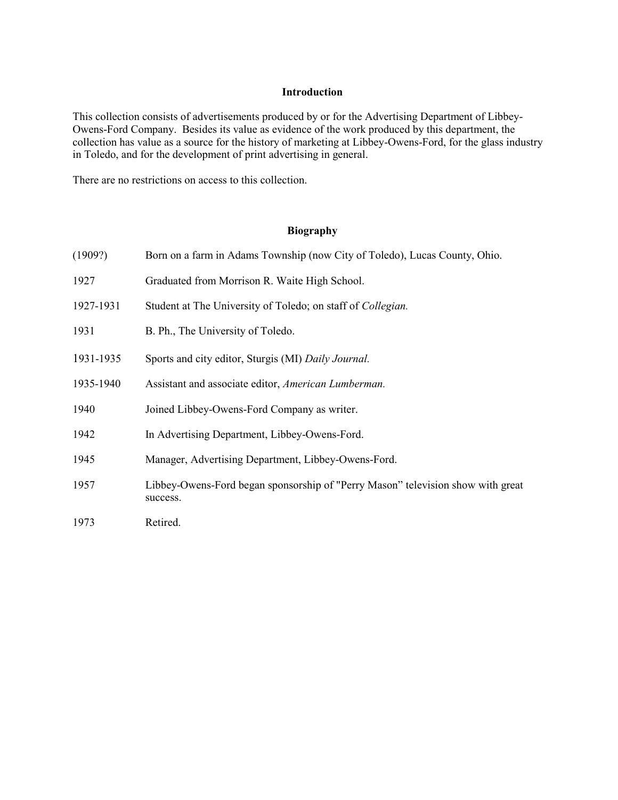### **Introduction**

This collection consists of advertisements produced by or for the Advertising Department of Libbey-Owens-Ford Company. Besides its value as evidence of the work produced by this department, the collection has value as a source for the history of marketing at Libbey-Owens-Ford, for the glass industry in Toledo, and for the development of print advertising in general.

There are no restrictions on access to this collection.

# **Biography**

| (1909?)   | Born on a farm in Adams Township (now City of Toledo), Lucas County, Ohio.                  |  |
|-----------|---------------------------------------------------------------------------------------------|--|
| 1927      | Graduated from Morrison R. Waite High School.                                               |  |
| 1927-1931 | Student at The University of Toledo; on staff of Collegian.                                 |  |
| 1931      | B. Ph., The University of Toledo.                                                           |  |
| 1931-1935 | Sports and city editor, Sturgis (MI) Daily Journal.                                         |  |
| 1935-1940 | Assistant and associate editor, American Lumberman.                                         |  |
| 1940      | Joined Libbey-Owens-Ford Company as writer.                                                 |  |
| 1942      | In Advertising Department, Libbey-Owens-Ford.                                               |  |
| 1945      | Manager, Advertising Department, Libbey-Owens-Ford.                                         |  |
| 1957      | Libbey-Owens-Ford began sponsorship of "Perry Mason" television show with great<br>success. |  |
| 1973      | Retired.                                                                                    |  |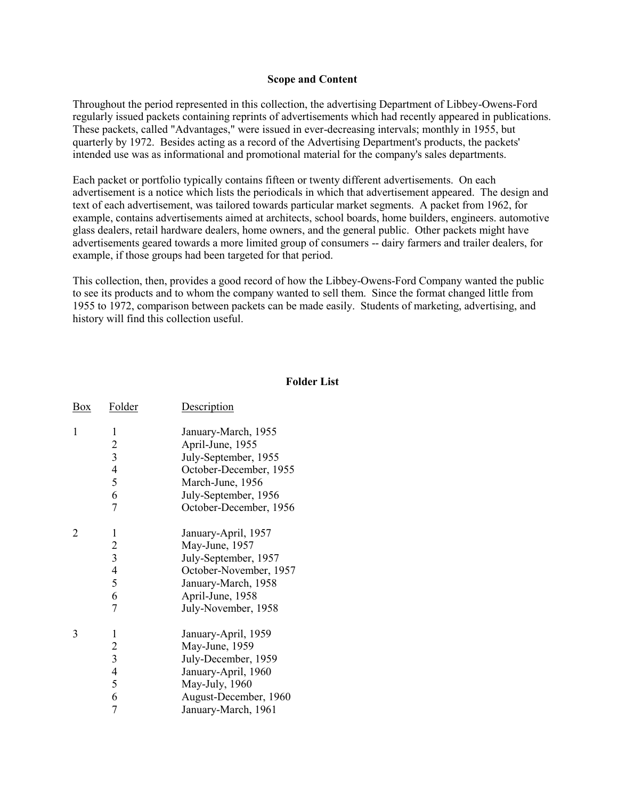### **Scope and Content**

Throughout the period represented in this collection, the advertising Department of Libbey-Owens-Ford regularly issued packets containing reprints of advertisements which had recently appeared in publications. These packets, called "Advantages," were issued in ever-decreasing intervals; monthly in 1955, but quarterly by 1972. Besides acting as a record of the Advertising Department's products, the packets' intended use was as informational and promotional material for the company's sales departments.

Each packet or portfolio typically contains fifteen or twenty different advertisements. On each advertisement is a notice which lists the periodicals in which that advertisement appeared. The design and text of each advertisement, was tailored towards particular market segments. A packet from 1962, for example, contains advertisements aimed at architects, school boards, home builders, engineers. automotive glass dealers, retail hardware dealers, home owners, and the general public. Other packets might have advertisements geared towards a more limited group of consumers -- dairy farmers and trailer dealers, for example, if those groups had been targeted for that period.

This collection, then, provides a good record of how the Libbey-Owens-Ford Company wanted the public to see its products and to whom the company wanted to sell them. Since the format changed little from 1955 to 1972, comparison between packets can be made easily. Students of marketing, advertising, and history will find this collection useful.

#### **Folder List**

| <u>Box</u> | Folder                                                                                    | <b>Description</b>                                                                                                                                              |
|------------|-------------------------------------------------------------------------------------------|-----------------------------------------------------------------------------------------------------------------------------------------------------------------|
| 1          | 1<br>$\overline{c}$<br>$\overline{\mathbf{3}}$<br>$\overline{4}$<br>5<br>6<br>7           | January-March, 1955<br>April-June, 1955<br>July-September, 1955<br>October-December, 1955<br>March-June, 1956<br>July-September, 1956<br>October-December, 1956 |
| 2          | 1<br>$\overline{c}$<br>$\overline{\mathbf{3}}$<br>$\overline{\mathcal{A}}$<br>5<br>6<br>7 | January-April, 1957<br>May-June, 1957<br>July-September, 1957<br>October-November, 1957<br>January-March, 1958<br>April-June, 1958<br>July-November, 1958       |
| 3          | 1<br>$\frac{2}{3}$<br>$\overline{4}$<br>5<br>6<br>7                                       | January-April, 1959<br>May-June, 1959<br>July-December, 1959<br>January-April, 1960<br>May-July, 1960<br>August-December, 1960<br>January-March, 1961           |